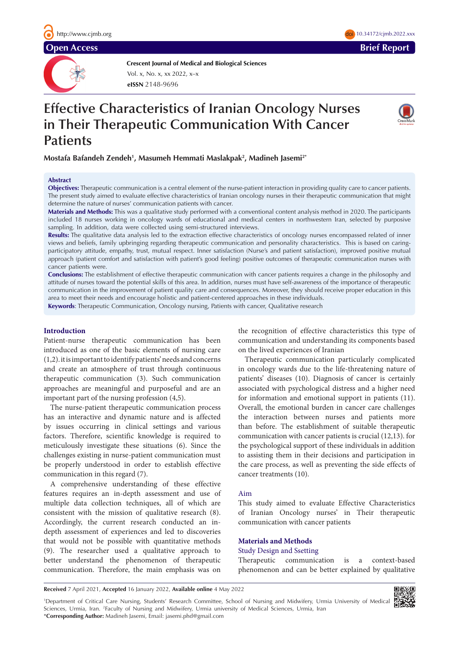**Open Access Brief Report**

**Crescent Journal of Medical and Biological Sciences**

**eISSN** 2148-9696 Vol. x, No. x, xx 2022, x–x

# **Effective Characteristics of Iranian Oncology Nurses in Their Therapeutic Communication With Cancer Patients**



doi 10.34172/cjmb.2022.xxx

**Mostafa Bafandeh Zendeh1 , Masumeh Hemmati Maslakpak2 , Madineh Jasemi2\***

## **Abstract**

**Objectives:** Therapeutic communication is a central element of the nurse-patient interaction in providing quality care to cancer patients. The present study aimed to evaluate effective characteristics of Iranian oncology nurses in their therapeutic communication that might determine the nature of nurses' communication patients with cancer.

**Materials and Methods:** This was a qualitative study performed with a conventional content analysis method in 2020. The participants included 18 nurses working in oncology wards of educational and medical centers in northwestern Iran, selected by purposive sampling. In addition, data were collected using semi-structured interviews.

**Results:** The qualitative data analysis led to the extraction effective characteristics of oncology nurses encompassed related of inner views and beliefs, family upbringing regarding therapeutic communication and personality characteristics. This is based on caringparticipatory attitude, empathy, trust, mutual respect. Inner satisfaction (Nurse's and patient satisfaction), improved positive mutual approach (patient comfort and satisfaction with patient's good feeling) positive outcomes of therapeutic communication nurses with cancer patients were.

**Conclusions:** The establishment of effective therapeutic communication with cancer patients requires a change in the philosophy and attitude of nurses toward the potential skills of this area. In addition, nurses must have self-awareness of the importance of therapeutic communication in the improvement of patient quality care and consequences. Moreover, they should receive proper education in this area to meet their needs and encourage holistic and patient-centered approaches in these individuals. **Keywords**: Therapeutic Communication, Oncology nursing, Patients with cancer, Qualitative research

## **Introduction**

Patient-nurse therapeutic communication has been introduced as one of the basic elements of nursing care (1,2). it is important to identify patients' needs and concerns and create an atmosphere of trust through continuous therapeutic communication (3). Such communication approaches are meaningful and purposeful and are an important part of the nursing profession (4,5).

The nurse-patient therapeutic communication process has an interactive and dynamic nature and is affected by issues occurring in clinical settings and various factors. Therefore, scientific knowledge is required to meticulously investigate these situations (6). Since the challenges existing in nurse-patient communication must be properly understood in order to establish effective communication in this regard (7).

A comprehensive understanding of these effective features requires an in-depth assessment and use of multiple data collection techniques, all of which are consistent with the mission of qualitative research (8). Accordingly, the current research conducted an indepth assessment of experiences and led to discoveries that would not be possible with quantitative methods (9). The researcher used a qualitative approach to better understand the phenomenon of therapeutic communication. Therefore, the main emphasis was on the recognition of effective characteristics this type of communication and understanding its components based on the lived experiences of Iranian

Therapeutic communication particularly complicated in oncology wards due to the life-threatening nature of patients' diseases (10). Diagnosis of cancer is certainly associated with psychological distress and a higher need for information and emotional support in patients (11). Overall, the emotional burden in cancer care challenges the interaction between nurses and patients more than before. The establishment of suitable therapeutic communication with cancer patients is crucial (12,13). for the psychological support of these individuals in addition to assisting them in their decisions and participation in the care process, as well as preventing the side effects of cancer treatments (10).

# Aim

This study aimed to evaluate Effective Characteristics of Iranian Oncology nurses' in Their therapeutic communication with cancer patients

# **Materials and Methods**

# Study Design and Ssetting

Therapeutic communication is a context-based phenomenon and can be better explained by qualitative

**Received** 7 April 2021, **Accepted** 16 January 2022, **Available online** 4 May 2022

1 Department of Critical Care Nursing, Students' Research Committee, School of Nursing and Midwifery, Urmia University of Medical Sciences, Urmia, Iran. <sup>2</sup>Faculty of Nursing and Midwifery, Urmia university of Medical Sciences, Urmia, Iran \***Corresponding Author:** Madineh Jasemi, Email: jasemi.phd@gmail.com

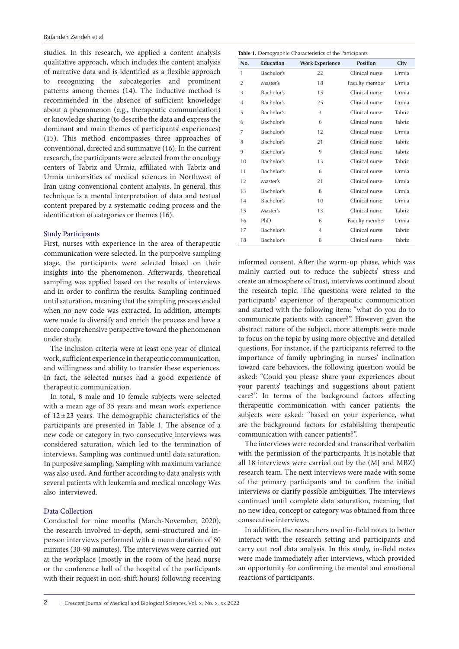studies. In this research, we applied a content analysis qualitative approach, which includes the content analysis of narrative data and is identified as a flexible approach to recognizing the subcategories and prominent patterns among themes (14). The inductive method is recommended in the absence of sufficient knowledge about a phenomenon (e.g., therapeutic communication) or knowledge sharing (to describe the data and express the dominant and main themes of participants' experiences) (15). This method encompasses three approaches of conventional, directed and summative (16). In the current research, the participants were selected from the oncology centers of Tabriz and Urmia, affiliated with Tabriz and Urmia universities of medical sciences in Northwest of Iran using conventional content analysis. In general, this technique is a mental interpretation of data and textual content prepared by a systematic coding process and the identification of categories or themes (16).

## Study Participants

First, nurses with experience in the area of therapeutic communication were selected. In the purposive sampling stage, the participants were selected based on their insights into the phenomenon. Afterwards, theoretical sampling was applied based on the results of interviews and in order to confirm the results. Sampling continued until saturation, meaning that the sampling process ended when no new code was extracted. In addition, attempts were made to diversify and enrich the process and have a more comprehensive perspective toward the phenomenon under study.

The inclusion criteria were at least one year of clinical work, sufficient experience in therapeutic communication, and willingness and ability to transfer these experiences. In fact, the selected nurses had a good experience of therapeutic communication.

In total, 8 male and 10 female subjects were selected with a mean age of 35 years and mean work experience of  $12 \pm 23$  years. The demographic characteristics of the participants are presented in Table 1. The absence of a new code or category in two consecutive interviews was considered saturation, which led to the termination of interviews. Sampling was continued until data saturation. In purposive sampling, Sampling with maximum variance was also used. And further according to data analysis with several patients with leukemia and medical oncology Was also interviewed.

# Data Collection

Conducted for nine months (March-November, 2020), the research involved in-depth, semi-structured and inperson interviews performed with a mean duration of 60 minutes (30-90 minutes). The interviews were carried out at the workplace (mostly in the room of the head nurse or the conference hall of the hospital of the participants with their request in non-shift hours) following receiving

| Table 1. Demographic Characteristics of the Participants |                  |                        |                 |        |  |
|----------------------------------------------------------|------------------|------------------------|-----------------|--------|--|
| No.                                                      | <b>Education</b> | <b>Work Experience</b> | <b>Position</b> | City   |  |
| 1                                                        | Bachelor's       | 22                     | Clinical nurse  | Urmia  |  |
| $\overline{2}$                                           | Master's         | 18                     | Faculty member  | Urmia  |  |
| 3                                                        | Bachelor's       | 15                     | Clinical nurse  | Urmia  |  |
| $\overline{4}$                                           | Bachelor's       | 25                     | Clinical nurse  | Urmia  |  |
| 5                                                        | Bachelor's       | 3                      | Clinical nurse  | Tabriz |  |
| 6                                                        | Bachelor's       | 6                      | Clinical nurse  | Tabriz |  |
| 7                                                        | Bachelor's       | 12                     | Clinical nurse  | Urmia  |  |
| 8                                                        | Bachelor's       | 21                     | Clinical nurse  | Tabriz |  |
| 9                                                        | Bachelor's       | 9                      | Clinical nurse  | Tabriz |  |
| 10                                                       | Bachelor's       | 13                     | Clinical nurse  | Tabriz |  |
| 11                                                       | Bachelor's       | 6                      | Clinical nurse  | Urmia  |  |
| 12                                                       | Master's         | 21                     | Clinical nurse  | Urmia  |  |
| 13                                                       | Bachelor's       | 8                      | Clinical nurse  | Urmia  |  |
| 14                                                       | Bachelor's       | 10                     | Clinical nurse  | Urmia  |  |
| 15                                                       | Master's         | 13                     | Clinical nurse  | Tabriz |  |
| 16                                                       | PhD              | 6                      | Faculty member  | Urmia  |  |
| 17                                                       | Bachelor's       | $\overline{4}$         | Clinical nurse  | Tabriz |  |
| 18                                                       | Bachelor's       | 8                      | Clinical nurse  | Tabriz |  |

informed consent. After the warm-up phase, which was mainly carried out to reduce the subjects' stress and create an atmosphere of trust, interviews continued about the research topic. The questions were related to the participants' experience of therapeutic communication and started with the following item: "what do you do to communicate patients with cancer?". However, given the abstract nature of the subject, more attempts were made to focus on the topic by using more objective and detailed questions. For instance, if the participants referred to the importance of family upbringing in nurses' inclination toward care behaviors, the following question would be asked: "Could you please share your experiences about your parents' teachings and suggestions about patient care?". In terms of the background factors affecting therapeutic communication with cancer patients, the subjects were asked: "based on your experience, what are the background factors for establishing therapeutic communication with cancer patients?".

The interviews were recorded and transcribed verbatim with the permission of the participants. It is notable that all 18 interviews were carried out by the (MJ and MBZ) research team. The next interviews were made with some of the primary participants and to confirm the initial interviews or clarify possible ambiguities. The interviews continued until complete data saturation, meaning that no new idea, concept or category was obtained from three consecutive interviews.

In addition, the researchers used in-field notes to better interact with the research setting and participants and carry out real data analysis. In this study, in-field notes were made immediately after interviews, which provided an opportunity for confirming the mental and emotional reactions of participants.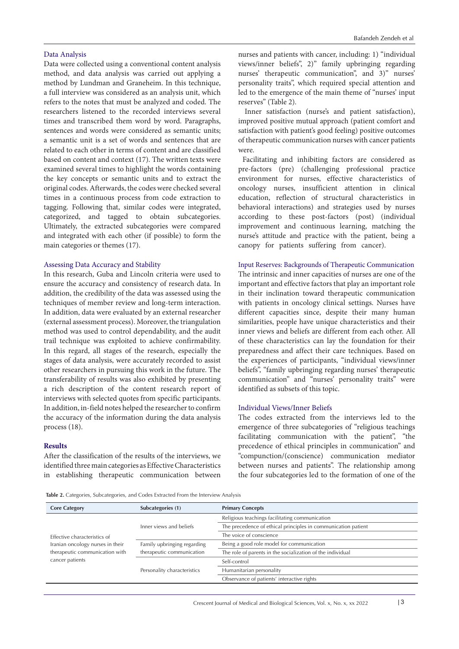# Data Analysis

Data were collected using a conventional content analysis method, and data analysis was carried out applying a method by Lundman and Graneheim. In this technique, a full interview was considered as an analysis unit, which refers to the notes that must be analyzed and coded. The researchers listened to the recorded interviews several times and transcribed them word by word. Paragraphs, sentences and words were considered as semantic units; a semantic unit is a set of words and sentences that are related to each other in terms of content and are classified based on content and context (17). The written texts were examined several times to highlight the words containing the key concepts or semantic units and to extract the original codes. Afterwards, the codes were checked several times in a continuous process from code extraction to tagging. Following that, similar codes were integrated, categorized, and tagged to obtain subcategories. Ultimately, the extracted subcategories were compared and integrated with each other (if possible) to form the main categories or themes (17).

#### Assessing Data Accuracy and Stability

In this research, Guba and Lincoln criteria were used to ensure the accuracy and consistency of research data. In addition, the credibility of the data was assessed using the techniques of member review and long-term interaction. In addition, data were evaluated by an external researcher (external assessment process). Moreover, the triangulation method was used to control dependability, and the audit trail technique was exploited to achieve confirmability. In this regard, all stages of the research, especially the stages of data analysis, were accurately recorded to assist other researchers in pursuing this work in the future. The transferability of results was also exhibited by presenting a rich description of the content research report of interviews with selected quotes from specific participants. In addition, in-field notes helped the researcher to confirm the accuracy of the information during the data analysis process (18).

# **Results**

After the classification of the results of the interviews, we identified three main categories as Effective Characteristics in establishing therapeutic communication between

nurses and patients with cancer, including: 1) "individual views/inner beliefs", 2)" family upbringing regarding nurses' therapeutic communication", and 3)" nurses' personality traits", which required special attention and led to the emergence of the main theme of "nurses' input reserves" (Table 2).

Inner satisfaction (nurse's and patient satisfaction), improved positive mutual approach (patient comfort and satisfaction with patient's good feeling) positive outcomes of therapeutic communication nurses with cancer patients were.

Facilitating and inhibiting factors are considered as pre-factors (pre) (challenging professional practice environment for nurses, effective characteristics of oncology nurses, insufficient attention in clinical education, reflection of structural characteristics in behavioral interactions) and strategies used by nurses according to these post-factors (post) (individual improvement and continuous learning, matching the nurse's attitude and practice with the patient, being a canopy for patients suffering from cancer).

#### Input Reserves: Backgrounds of Therapeutic Communication

The intrinsic and inner capacities of nurses are one of the important and effective factors that play an important role in their inclination toward therapeutic communication with patients in oncology clinical settings. Nurses have different capacities since, despite their many human similarities, people have unique characteristics and their inner views and beliefs are different from each other. All of these characteristics can lay the foundation for their preparedness and affect their care techniques. Based on the experiences of participants, "individual views/inner beliefs", "family upbringing regarding nurses' therapeutic communication" and "nurses' personality traits" were identified as subsets of this topic.

# Individual Views/Inner Beliefs

The codes extracted from the interviews led to the emergence of three subcategories of "religious teachings facilitating communication with the patient", "the precedence of ethical principles in communication" and "compunction/(conscience) communication mediator between nurses and patients". The relationship among the four subcategories led to the formation of one of the

**Table 2.** Categories, Subcategories, and Codes Extracted From the Interview Analysis

| <b>Core Category</b>             | Subcategories (1)                                        | <b>Primary Concepts</b>                                       |
|----------------------------------|----------------------------------------------------------|---------------------------------------------------------------|
|                                  |                                                          | Religious teachings facilitating communication                |
|                                  | Inner views and beliefs                                  | The precedence of ethical principles in communication patient |
| Effective characteristics of     |                                                          | The voice of conscience                                       |
| Iranian oncology nurses in their | Family upbringing regarding<br>therapeutic communication | Being a good role model for communication                     |
| therapeutic communication with   |                                                          | The role of parents in the socialization of the individual    |
| cancer patients                  | Personality characteristics                              | Self-control                                                  |
|                                  |                                                          | Humanitarian personality                                      |
|                                  |                                                          | Observance of patients' interactive rights                    |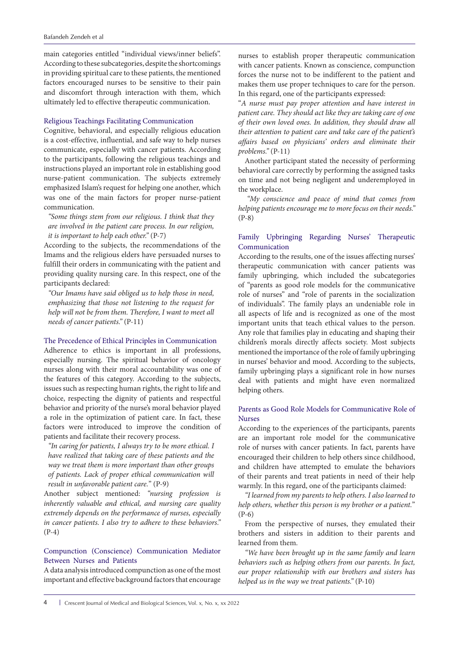main categories entitled "individual views/inner beliefs". According to these subcategories, despite the shortcomings in providing spiritual care to these patients, the mentioned factors encouraged nurses to be sensitive to their pain and discomfort through interaction with them, which ultimately led to effective therapeutic communication.

#### Religious Teachings Facilitating Communication

Cognitive, behavioral, and especially religious education is a cost-effective, influential, and safe way to help nurses communicate, especially with cancer patients. According to the participants, following the religious teachings and instructions played an important role in establishing good nurse-patient communication. The subjects extremely emphasized Islam's request for helping one another, which was one of the main factors for proper nurse-patient communication.

*"Some things stem from our religious. I think that they are involved in the patient care process. In our religion, it is important to help each other."* (P-7)

According to the subjects, the recommendations of the Imams and the religious elders have persuaded nurses to fulfill their orders in communicating with the patient and providing quality nursing care. In this respect, one of the participants declared:

*"Our Imams have said obliged us to help those in need, emphasizing that those not listening to the request for help will not be from them. Therefore, I want to meet all needs of cancer patients."* (P-11)

#### The Precedence of Ethical Principles in Communication

Adherence to ethics is important in all professions, especially nursing. The spiritual behavior of oncology nurses along with their moral accountability was one of the features of this category. According to the subjects, issues such as respecting human rights, the right to life and choice, respecting the dignity of patients and respectful behavior and priority of the nurse's moral behavior played a role in the optimization of patient care. In fact, these factors were introduced to improve the condition of patients and facilitate their recovery process.

*"In caring for patients, I always try to be more ethical. I have realized that taking care of these patients and the way we treat them is more important than other groups of patients. Lack of proper ethical communication will result in unfavorable patient care.*" (P-9)

Another subject mentioned: *"nursing profession is inherently valuable and ethical, and nursing care quality extremely depends on the performance of nurses, especially in cancer patients. I also try to adhere to these behaviors."*  (P-4)

# Compunction (Conscience) Communication Mediator Between Nurses and Patients

A data analysis introduced compunction as one of the most important and effective background factors that encourage

nurses to establish proper therapeutic communication with cancer patients. Known as conscience, compunction forces the nurse not to be indifferent to the patient and makes them use proper techniques to care for the person. In this regard, one of the participants expressed:

"*A nurse must pay proper attention and have interest in patient care. They should act like they are taking care of one of their own loved ones. In addition, they should draw all their attention to patient care and take care of the patient's affairs based on physicians' orders and eliminate their problems."* (P-11)

Another participant stated the necessity of performing behavioral care correctly by performing the assigned tasks on time and not being negligent and underemployed in the workplace.

*"My conscience and peace of mind that comes from helping patients encourage me to more focus on their needs."* (P-8)

# Family Upbringing Regarding Nurses' Therapeutic Communication

According to the results, one of the issues affecting nurses' therapeutic communication with cancer patients was family upbringing, which included the subcategories of "parents as good role models for the communicative role of nurses" and "role of parents in the socialization of individuals". The family plays an undeniable role in all aspects of life and is recognized as one of the most important units that teach ethical values to the person. Any role that families play in educating and shaping their children's morals directly affects society. Most subjects mentioned the importance of the role of family upbringing in nurses' behavior and mood. According to the subjects, family upbringing plays a significant role in how nurses deal with patients and might have even normalized helping others.

# Parents as Good Role Models for Communicative Role of Nurses

According to the experiences of the participants, parents are an important role model for the communicative role of nurses with cancer patients. In fact, parents have encouraged their children to help others since childhood, and children have attempted to emulate the behaviors of their parents and treat patients in need of their help warmly. In this regard, one of the participants claimed:

*"I learned from my parents to help others. I also learned to help others, whether this person is my brother or a patient.*" (P-6)

From the perspective of nurses, they emulated their brothers and sisters in addition to their parents and learned from them.

*"We have been brought up in the same family and learn behaviors such as helping others from our parents. In fact, our proper relationship with our brothers and sisters has helped us in the way we treat patients."* (P-10)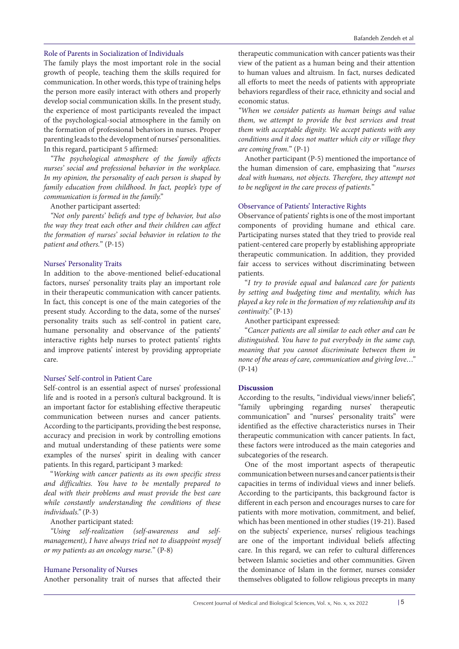#### Role of Parents in Socialization of Individuals

The family plays the most important role in the social growth of people, teaching them the skills required for communication. In other words, this type of training helps the person more easily interact with others and properly develop social communication skills. In the present study, the experience of most participants revealed the impact of the psychological-social atmosphere in the family on the formation of professional behaviors in nurses. Proper parenting leads to the development of nurses' personalities. In this regard, participant 5 affirmed:

*"The psychological atmosphere of the family affects nurses' social and professional behavior in the workplace. In my opinion, the personality of each person is shaped by family education from childhood. In fact, people's type of communication is formed in the family."*

Another participant asserted:

*"Not only parents' beliefs and type of behavior, but also the way they treat each other and their children can affect the formation of nurses' social behavior in relation to the patient and others.*" (P-15)

#### Nurses' Personality Traits

In addition to the above-mentioned belief-educational factors, nurses' personality traits play an important role in their therapeutic communication with cancer patients. In fact, this concept is one of the main categories of the present study. According to the data, some of the nurses' personality traits such as self-control in patient care, humane personality and observance of the patients' interactive rights help nurses to protect patients' rights and improve patients' interest by providing appropriate care.

#### Nurses' Self-control in Patient Care

Self-control is an essential aspect of nurses' professional life and is rooted in a person's cultural background. It is an important factor for establishing effective therapeutic communication between nurses and cancer patients. According to the participants, providing the best response, accuracy and precision in work by controlling emotions and mutual understanding of these patients were some examples of the nurses' spirit in dealing with cancer patients. In this regard, participant 3 marked:

"*Working with cancer patients as its own specific stress and difficulties. You have to be mentally prepared to deal with their problems and must provide the best care while constantly understanding the conditions of these individuals."* (P-3)

Another participant stated:

*"Using self-realization (self-awareness and selfmanagement), I have always tried not to disappoint myself or my patients as an oncology nurse.*" (P-8)

# Humane Personality of Nurses

Another personality trait of nurses that affected their

therapeutic communication with cancer patients was their view of the patient as a human being and their attention to human values and altruism. In fact, nurses dedicated all efforts to meet the needs of patients with appropriate behaviors regardless of their race, ethnicity and social and economic status.

*"When we consider patients as human beings and value them, we attempt to provide the best services and treat them with acceptable dignity. We accept patients with any conditions and it does not matter which city or village they are coming from.*" (P-1)

Another participant (P-5) mentioned the importance of the human dimension of care, emphasizing that "*nurses deal with humans, not objects. Therefore, they attempt not to be negligent in the care process of patients.*"

# Observance of Patients' Interactive Rights

Observance of patients' rights is one of the most important components of providing humane and ethical care. Participating nurses stated that they tried to provide real patient-centered care properly by establishing appropriate therapeutic communication. In addition, they provided fair access to services without discriminating between patients.

"*I try to provide equal and balanced care for patients by setting and budgeting time and mentality, which has played a key role in the formation of my relationship and its continuity."* (P-13)

Another participant expressed:

"*Cancer patients are all similar to each other and can be distinguished. You have to put everybody in the same cup, meaning that you cannot discriminate between them in none of the areas of care, communication and giving love…"* (P-14)

## **Discussion**

According to the results, "individual views/inner beliefs", "family upbringing regarding nurses' therapeutic communication" and "nurses' personality traits" were identified as the effective characteristics nurses in Their therapeutic communication with cancer patients. In fact, these factors were introduced as the main categories and subcategories of the research.

One of the most important aspects of therapeutic communication between nurses and cancer patients is their capacities in terms of individual views and inner beliefs. According to the participants, this background factor is different in each person and encourages nurses to care for patients with more motivation, commitment, and belief, which has been mentioned in other studies (19-21). Based on the subjects' experience, nurses' religious teachings are one of the important individual beliefs affecting care. In this regard, we can refer to cultural differences between Islamic societies and other communities. Given the dominance of Islam in the former, nurses consider themselves obligated to follow religious precepts in many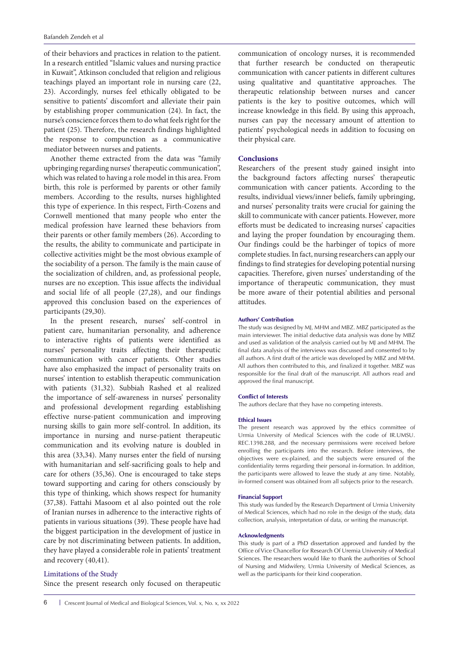of their behaviors and practices in relation to the patient. In a research entitled "Islamic values and nursing practice in Kuwait", Atkinson concluded that religion and religious teachings played an important role in nursing care (22, 23). Accordingly, nurses feel ethically obligated to be sensitive to patients' discomfort and alleviate their pain by establishing proper communication (24). In fact, the nurse's conscience forces them to do what feels right for the patient (25). Therefore, the research findings highlighted the response to compunction as a communicative mediator between nurses and patients.

Another theme extracted from the data was "family upbringing regarding nurses' therapeutic communication", which was related to having a role model in this area. From birth, this role is performed by parents or other family members. According to the results, nurses highlighted this type of experience. In this respect, Firth-Cozens and Cornwell mentioned that many people who enter the medical profession have learned these behaviors from their parents or other family members (26). According to the results, the ability to communicate and participate in collective activities might be the most obvious example of the sociability of a person. The family is the main cause of the socialization of children, and, as professional people, nurses are no exception. This issue affects the individual and social life of all people (27,28), and our findings approved this conclusion based on the experiences of participants (29,30).

In the present research, nurses' self-control in patient care, humanitarian personality, and adherence to interactive rights of patients were identified as nurses' personality traits affecting their therapeutic communication with cancer patients. Other studies have also emphasized the impact of personality traits on nurses' intention to establish therapeutic communication with patients (31,32). Subbiah Rashed et al realized the importance of self-awareness in nurses' personality and professional development regarding establishing effective nurse-patient communication and improving nursing skills to gain more self-control. In addition, its importance in nursing and nurse-patient therapeutic communication and its evolving nature is doubled in this area (33,34). Many nurses enter the field of nursing with humanitarian and self-sacrificing goals to help and care for others (35,36). One is encouraged to take steps toward supporting and caring for others consciously by this type of thinking, which shows respect for humanity (37,38). Fattahi Masoom et al also pointed out the role of Iranian nurses in adherence to the interactive rights of patients in various situations (39). These people have had the biggest participation in the development of justice in care by not discriminating between patients. In addition, they have played a considerable role in patients' treatment and recovery (40,41).

## Limitations of the Study

Since the present research only focused on therapeutic

communication of oncology nurses, it is recommended that further research be conducted on therapeutic communication with cancer patients in different cultures using qualitative and quantitative approaches. The therapeutic relationship between nurses and cancer patients is the key to positive outcomes, which will increase knowledge in this field. By using this approach, nurses can pay the necessary amount of attention to patients' psychological needs in addition to focusing on their physical care.

# **Conclusions**

Researchers of the present study gained insight into the background factors affecting nurses' therapeutic communication with cancer patients. According to the results, individual views/inner beliefs, family upbringing, and nurses' personality traits were crucial for gaining the skill to communicate with cancer patients. However, more efforts must be dedicated to increasing nurses' capacities and laying the proper foundation by encouraging them. Our findings could be the harbinger of topics of more complete studies. In fact, nursing researchers can apply our findings to find strategies for developing potential nursing capacities. Therefore, given nurses' understanding of the importance of therapeutic communication, they must be more aware of their potential abilities and personal attitudes.

#### **Authors' Contribution**

The study was designed by MJ, MHM and MBZ. MBZ participated as the main interviewer. The initial deductive data analysis was done by MBZ and used as validation of the analysis carried out by MJ and MHM. The final data analysis of the interviews was discussed and consented to by all authors. A first draft of the article was developed by MBZ and MHM. All authors then contributed to this, and finalized it together. MBZ was responsible for the final draft of the manuscript. All authors read and approved the final manuscript.

#### **Conflict of Interests**

The authors declare that they have no competing interests.

#### **Ethical Issues**

The present research was approved by the ethics committee of Urmia University of Medical Sciences with the code of IR.UMSU. REC.1398.288, and the necessary permissions were received before enrolling the participants into the research. Before interviews, the objectives were ex-plained, and the subjects were ensured of the confidentiality terms regarding their personal in-formation. In addition, the participants were allowed to leave the study at any time. Notably, in-formed consent was obtained from all subjects prior to the research.

#### **Financial Support**

This study was funded by the Research Department of Urmia University of Medical Sciences, which had no role in the design of the study, data collection, analysis, interpretation of data, or writing the manuscript.

#### **Acknowledgments**

This study is part of a PhD dissertation approved and funded by the Office of Vice Chancellor for Research Of Uremia University of Medical Sciences. The researchers would like to thank the authorities of School of Nursing and Midwifery, Urmia University of Medical Sciences, as well as the participants for their kind cooperation.